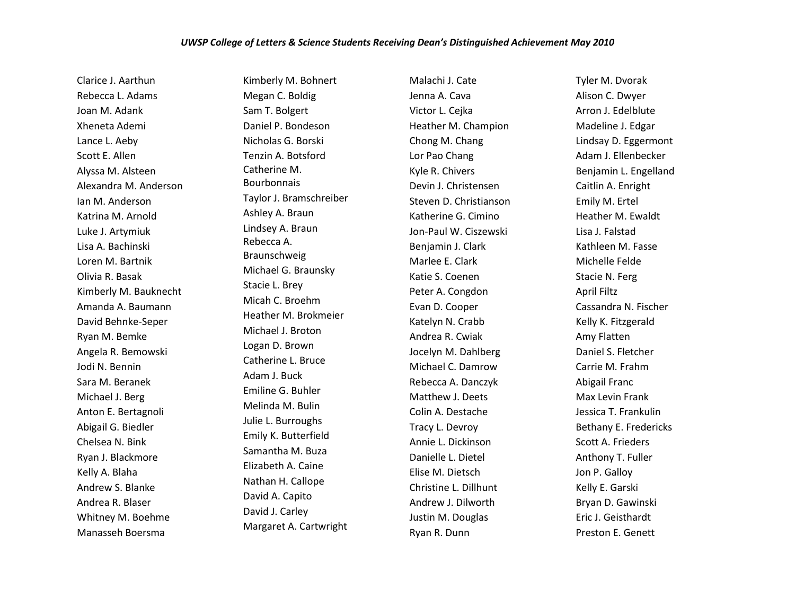Clarice J. Aarthun Rebecca L. Adams Joan M. Adank Xheneta Ademi Lance L. Aeby Scott E. Allen Alyssa M. Alsteen Alexandra M. Anderson Ian M. Anderson Katrina M. Arnold Luke J. Artymiuk Lisa A. Bachinski Loren M. Bartnik Olivia R. Basak Kimberly M. Bauknecht Amanda A. Baumann David Behnke-Seper Ryan M. Bemke Angela R. Bemowski Jodi N. Bennin Sara M. Beranek Michael J. Berg Anton E. Bertagnoli Abigail G. Biedler Chelsea N. Bink Ryan J. Blackmore Kelly A. Blaha Andrew S. Blanke Andrea R. Blaser Whitney M. Boehme Manasseh Boersma

Kimberly M. Bohnert Megan C. Boldig Sam T. Bolgert Daniel P. Bondeson Nicholas G. Borski Tenzin A. Botsford Catherine M. Bourbonnais Taylor J. Bramschreiber Ashley A. Braun Lindsey A. Braun Rebecca A. Braunschweig Michael G. Braunsky Stacie L. Brey Micah C. Broehm Heather M. Brokmeier Michael J. Broton Logan D. Brown Catherine L. Bruce Adam J. Buck Emiline G. Buhler Melinda M. Bulin Julie L. Burroughs Emily K. Butterfield Samantha M. Buza Elizabeth A. Caine Nathan H. Callope David A. Capito David J. Carley Margaret A. Cartwright

Malachi J. Cate Jenna A. Cava Victor L. Cejka Heather M. Champion Chong M. Chang Lor Pao Chang Kyle R. Chivers Devin J. Christensen Steven D. Christianson Katherine G. Cimino Jon-Paul W. Ciszewski Benjamin J. Clark Marlee E. Clark Katie S. Coenen Peter A. Congdon Evan D. Cooper Katelyn N. Crabb Andrea R. Cwiak Jocelyn M. Dahlberg Michael C. Damrow Rebecca A. Danczyk Matthew J. Deets Colin A. Destache Tracy L. Devroy Annie L. Dickinson Danielle L. Dietel Elise M. Dietsch Christine L. Dillhunt Andrew J. Dilworth Justin M. Douglas Ryan R. Dunn

Tyler M. Dvorak Alison C. Dwyer Arron J. Edelblute Madeline J. Edgar Lindsay D. Eggermont Adam J. Ellenbecker Benjamin L. Engelland Caitlin A. Enright Emily M. Ertel Heather M. Ewaldt Lisa J. Falstad Kathleen M. Fasse Michelle Felde Stacie N. Ferg April Filtz Cassandra N. Fischer Kelly K. Fitzgerald Amy Flatten Daniel S. Fletcher Carrie M. Frahm Abigail Franc Max Levin Frank Jessica T. Frankulin Bethany E. Fredericks Scott A. Frieders Anthony T. Fuller Jon P. Galloy Kelly E. Garski Bryan D. Gawinski Eric J. Geisthardt Preston E. Genett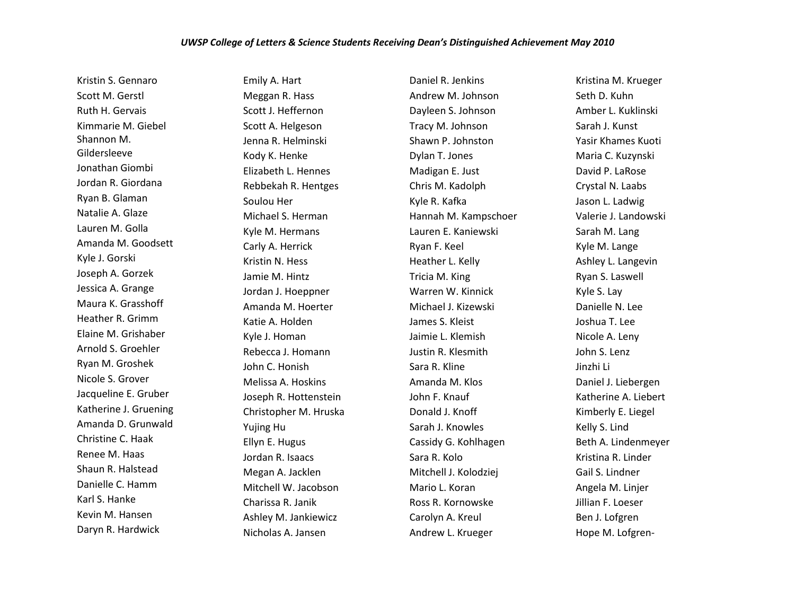## *UWSP College of Letters & Science Students Receiving Dean's Distinguished Achievement May 2010*

Kristin S. Gennaro Scott M. Gerstl Ruth H. Gervais Kimmarie M. Giebel Shannon M. Gildersleeve Jonathan Giombi Jordan R. Giordana Ryan B. Glaman Natalie A. Glaze Lauren M. Golla Amanda M. Goodsett Kyle J. Gorski Joseph A. Gorzek Jessica A. Grange Maura K. Grasshoff Heather R. Grimm Elaine M. Grishaber Arnold S. Groehler Ryan M. Groshek Nicole S. Grover Jacqueline E. Gruber Katherine J. Gruening Amanda D. Grunwald Christine C. Haak Renee M. Haas Shaun R. Halstead Danielle C. Hamm Karl S. Hanke Kevin M. Hansen Daryn R. Hardwick

Emily A. Hart Meggan R. Hass Scott J. Heffernon Scott A. Helgeson Jenna R. Helminski Kody K. Henke Elizabeth L. Hennes Rebbekah R. Hentges Soulou Her Michael S. Herman Kyle M. Hermans Carly A. Herrick Kristin N. Hess Jamie M. Hintz Jordan J. Hoeppner Amanda M. Hoerter Katie A. Holden Kyle J. Homan Rebecca J. Homann John C. Honish Melissa A. Hoskins Joseph R. Hottenstein Christopher M. Hruska Yujing Hu Ellyn E. Hugus Jordan R. Isaacs Megan A. Jacklen Mitchell W. Jacobson Charissa R. Janik Ashley M. Jankiewicz Nicholas A. Jansen

Daniel R. Jenkins Andrew M. Johnson Dayleen S. Johnson Tracy M. Johnson Shawn P. Johnston Dylan T. Jones Madigan E. Just Chris M. Kadolph Kyle R. Kafka Hannah M. Kampschoer Lauren E. Kaniewski Ryan F. Keel Heather L. Kelly Tricia M. King Warren W. Kinnick Michael J. Kizewski James S. Kleist Jaimie L. Klemish Justin R. Klesmith Sara R. Kline Amanda M. Klos John F. Knauf Donald J. Knoff Sarah J. Knowles Cassidy G. Kohlhagen Sara R. Kolo Mitchell J. Kolodziej Mario L. Koran Ross R. Kornowske Carolyn A. Kreul Andrew L. Krueger

Kristina M. Krueger Seth D. Kuhn Amber L. Kuklinski Sarah J. Kunst Yasir Khames Kuoti Maria C. Kuzynski David P. LaRose Crystal N. Laabs Jason L. Ladwig Valerie J. Landowski Sarah M. Lang Kyle M. Lange Ashley L. Langevin Ryan S. Laswell Kyle S. Lay Danielle N. Lee Joshua T. Lee Nicole A. Leny John S. Lenz Jinzhi Li Daniel J. Liebergen Katherine A. Liebert Kimberly E. Liegel Kelly S. Lind Beth A. Lindenmeyer Kristina R. Linder Gail S. Lindner Angela M. Linjer Jillian F. Loeser Ben J. Lofgren Hope M. Lofgren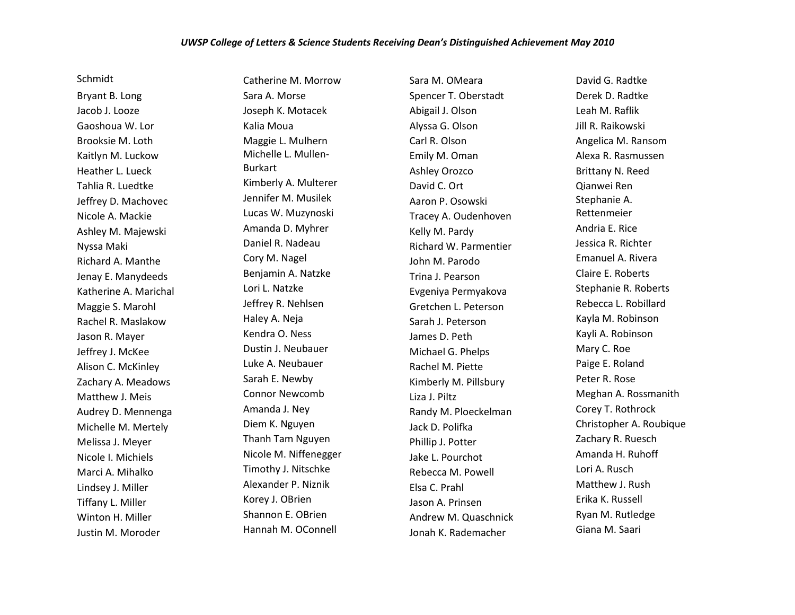Schmidt

Bryant B. Long Jacob J. Looze Gaoshoua W. Lor Brooksie M. Loth Kaitlyn M. Luckow Heather L. Lueck Tahlia R. Luedtke Jeffrey D. Machovec Nicole A. Mackie Ashley M. Majewski Nyssa Maki Richard A. Manthe Jenay E. Manydeeds Katherine A. Marichal Maggie S. Marohl Rachel R. Maslakow Jason R. Mayer Jeffrey J. McKee Alison C. McKinley Zachary A. Meadows Matthew J. Meis Audrey D. Mennenga Michelle M. Mertely Melissa J. Meyer Nicole I. Michiels Marci A. Mihalko Lindsey J. Miller Tiffany L. Miller Winton H. Miller Justin M. Moroder

Catherine M. Morrow Sara A. Morse Joseph K. Motacek Kalia Moua Maggie L. Mulhern Michelle L. Mullen-Burkart Kimberly A. Multerer Jennifer M. Musilek Lucas W. Muzynoski Amanda D. Myhrer Daniel R. Nadeau Cory M. Nagel Benjamin A. Natzke Lori L. Natzke Jeffrey R. Nehlsen Haley A. Neja Kendra O. Ness Dustin J. Neubauer Luke A. Neubauer Sarah E. Newby Connor Newcomb Amanda J. Ney Diem K. Nguyen Thanh Tam Nguyen Nicole M. Niffenegger Timothy J. Nitschke Alexander P. Niznik Korey J. OBrien Shannon E. OBrien Hannah M. OConnell

Sara M. OMeara Spencer T. Oberstadt Abigail J. Olson Alyssa G. Olson Carl R. Olson Emily M. Oman Ashley Orozco David C. Ort Aaron P. Osowski Tracey A. Oudenhoven Kelly M. Pardy Richard W. Parmentier John M. Parodo Trina J. Pearson Evgeniya Permyakova Gretchen L. Peterson Sarah J. Peterson James D. Peth Michael G. Phelps Rachel M. Piette Kimberly M. Pillsbury Liza J. Piltz Randy M. Ploeckelman Jack D. Polifka Phillip J. Potter Jake L. Pourchot Rebecca M. Powell Elsa C. Prahl Jason A. Prinsen Andrew M. Quaschnick Jonah K. Rademacher

David G. Radtke Derek D. Radtke Leah M. Raflik Jill R. Raikowski Angelica M. Ransom Alexa R. Rasmussen Brittany N. Reed Qianwei Ren Stephanie A. Rettenmeier Andria E. Rice Jessica R. Richter Emanuel A. Rivera Claire E. Roberts Stephanie R. Roberts Rebecca L. Robillard Kayla M. Robinson Kayli A. Robinson Mary C. Roe Paige E. Roland Peter R. Rose Meghan A. Rossmanith Corey T. Rothrock Christopher A. Roubique Zachary R. Ruesch Amanda H. Ruhoff Lori A. Rusch Matthew J. Rush Erika K. Russell Ryan M. Rutledge Giana M. Saari